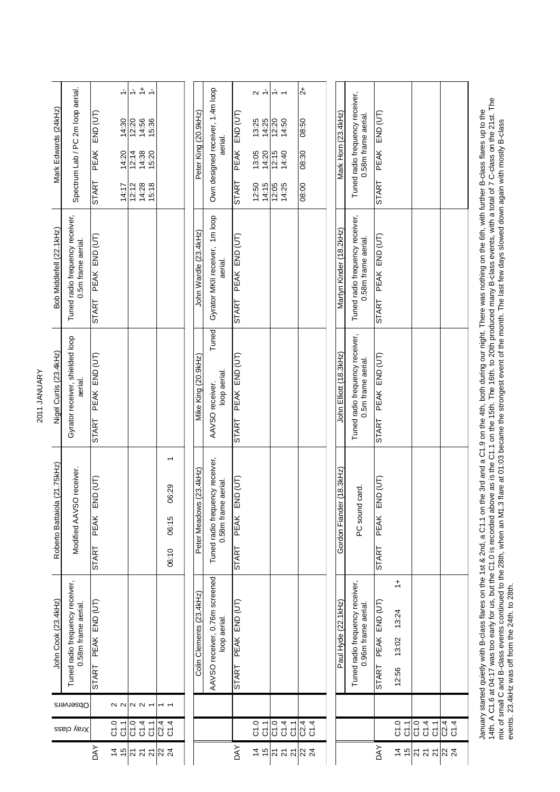| Mark Edwards (24kHz)         | Spectrum Lab / PC 2m loop aerial.                      | $END$ $(UT)$<br><b>PEAK</b><br><b>START</b> | $\div$<br>14:30<br>14:20<br>14:17                     | $\div$<br>12:20<br>12:14<br>12:12 | $\frac{+}{ }$<br>$\frac{1}{2}$<br>14:56<br>15:36<br>14:38<br>15:20<br>15:18<br>14:28 |                                                     | Peter King (20.9kHz)       | Own designed receiver, 1.4m loop<br>aerial.            | PEAK END (UT)<br><b>START</b>           | $\sim$ $\frac{1}{\sqrt{2}}$<br>13:25<br>14:25<br>13:05<br>14:20<br>12:50<br>14:15 | $\div$<br>$\overline{ }$<br>12:20<br>14:50<br>12:15<br>14:40<br>12:05<br>14:25 | $\frac{1}{2}$<br>08:50<br>08:30<br>08:00  | Mark Horn (23.4kHz)      | Tuned radio frequency receiver,<br>0.58m frame aerial. | END (UT)<br><b>PEAK</b><br><b>START</b>          |                                   |                            |                                           |                                                                                                                                                                                                   |
|------------------------------|--------------------------------------------------------|---------------------------------------------|-------------------------------------------------------|-----------------------------------|--------------------------------------------------------------------------------------|-----------------------------------------------------|----------------------------|--------------------------------------------------------|-----------------------------------------|-----------------------------------------------------------------------------------|--------------------------------------------------------------------------------|-------------------------------------------|--------------------------|--------------------------------------------------------|--------------------------------------------------|-----------------------------------|----------------------------|-------------------------------------------|---------------------------------------------------------------------------------------------------------------------------------------------------------------------------------------------------|
| Bob Middlefell (22.1kHz)     | Tuned radio frequency receiver,<br>0.5m frame aerial.  | PEAK END (UT)<br><b>START</b>               |                                                       |                                   |                                                                                      |                                                     | John Wardle (23.4kHz)      | Gyrator MKII receiver, 1m loop<br>aerial.              | START PEAK END (UT)                     |                                                                                   |                                                                                |                                           | Martyn Kinder (18.2kHz)  | Tuned radio frequency receiver,<br>0.58m frame aerial. | START PEAK END (UT)                              |                                   |                            |                                           |                                                                                                                                                                                                   |
| Nigel Curtis (23.4kHz)       | Gyrator receiver, shielded loop<br>aerial.             | PEAK END (UT)<br><b>START</b>               |                                                       |                                   |                                                                                      |                                                     | Mike King (20.9kHz)        | Tuned<br>loop aerial.<br>AAVSO receiver.               | START PEAK END (UT)                     |                                                                                   |                                                                                |                                           | John Elliott (18.3kHz)   | Tuned radio frequency receiver,<br>0.5m frame aerial.  | START PEAK END (UT)                              |                                   |                            |                                           |                                                                                                                                                                                                   |
| Roberto Battaiola (21.75kHz) | O receiver.<br>Modified AAVS                           | $END$ $(UT)$<br><b>PEAK</b><br><b>START</b> |                                                       |                                   |                                                                                      | $\overline{\phantom{0}}$<br>06:29<br>06:15<br>06:10 | s(23.4kHz)<br>Peter Meadow | Tuned radio frequency receiver,<br>0.58m frame aerial. | END (UT)<br><b>PEAK</b><br><b>START</b> |                                                                                   |                                                                                |                                           | Gordon Fiander (18.3kHz) | card.<br>PC sound                                      | $\overline{F}$ (UT)<br>ш<br><b>PEAK</b><br>START |                                   |                            |                                           | January started quietly with B-class flares on the 1st & 2nd, a C1.1 on the 3rd and a C1.9 on the 4th, both during our night. There was nothing on the 6th, with further B-class flares up to the |
| John Cook (23.4kHz)          | Tuned radio frequency receiver,<br>0.58m frame aerial. | PEAK END (UT)<br><b>START</b>               |                                                       |                                   |                                                                                      |                                                     | Colin Clements (23.4kHz)   | AAVSO receiver, 0.76m screened<br>loop aerial.         | PEAK END (UT)<br><b>START</b>           |                                                                                   |                                                                                |                                           | Paul Hyde (22.1kHz)      | Tuned radio frequency receiver,<br>0.96m frame aerial. | PEAK END (UT)<br><b>START</b>                    | $\div$<br>13:24<br>13:02<br>12:56 |                            |                                           |                                                                                                                                                                                                   |
| Observers                    |                                                        |                                             | 2<br>2                                                |                                   | $\sim \sim$ $\sim$                                                                   |                                                     |                            |                                                        |                                         |                                                                                   |                                                                                |                                           |                          |                                                        |                                                  |                                   |                            |                                           |                                                                                                                                                                                                   |
|                              | Xray class                                             | <b>DAY</b>                                  | $\begin{array}{c} 0.7647 \\ 0.5604 \end{array}$<br>45 |                                   |                                                                                      | C2.4<br>C1.4                                        |                            |                                                        | <b>DAY</b>                              | $4\overline{6}$                                                                   | $rac{1}{2}$ $rac{1}{2}$ $rac{1}{2}$ $rac{1}{2}$ $rac{1}{2}$ $rac{1}{2}$        | $\frac{1}{5}$ $\frac{4}{3}$ $\frac{4}{5}$ |                          |                                                        | DAY                                              | $rac{1}{C}$<br>45                 | $rac{1}{2}$<br>$rac{1}{2}$ | $\frac{1}{6}$ $\frac{1}{3}$ $\frac{4}{3}$ |                                                                                                                                                                                                   |
|                              |                                                        |                                             |                                                       |                                   |                                                                                      | ភ ភ ភ $\frac{1}{2}$ ង ភ                             |                            |                                                        |                                         |                                                                                   |                                                                                |                                           |                          |                                                        |                                                  |                                   |                            |                                           |                                                                                                                                                                                                   |

14th. A C1.6 at 04:17 was too early for us, but the C1.0 is recorded above as is the C1.1 on the 15th. The 16th. to 20th produced many B-class events, with a total of 7 C-class on the 21st. The<br>mix of small C and B-class e 14th. A C1.6 at 04:17 was too early for us, but the C1.0 is recorded above as is the C1.1 on the 15th. The 16th. to 20th produced many B-class events, with a total of 7 C-class on the 21st. The January started quietly with B-class flares on the 1st & 2nd, a C1.1 on the 3rd and a C1.9 on the 4th, both during our night. There was nothing on the 6th, with further B-class flares up to the mix of small C and B-class events continued to the 28th, when an M1.3 flare at 01:03 became the strongest event of the month. The last few days slowed down again with mostly B-class events. 23.4kHz was off from the 24th. to 28th.

## 2011 JANUARY 2011 JANUARY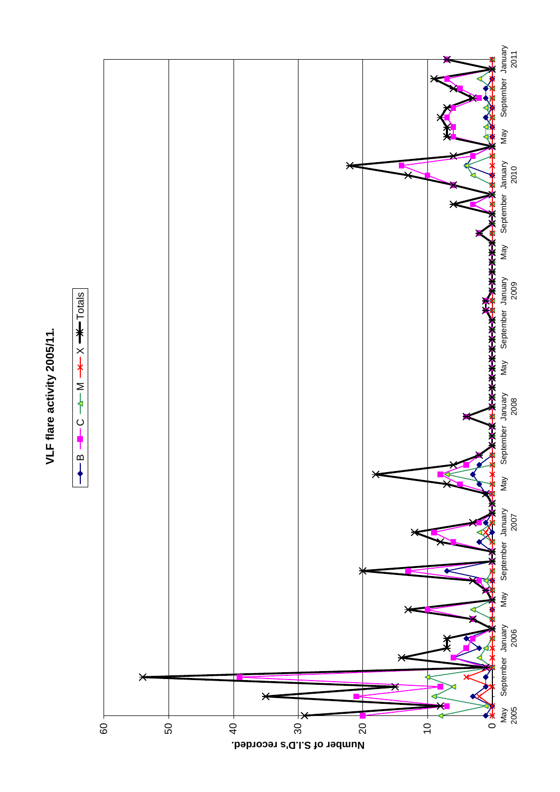

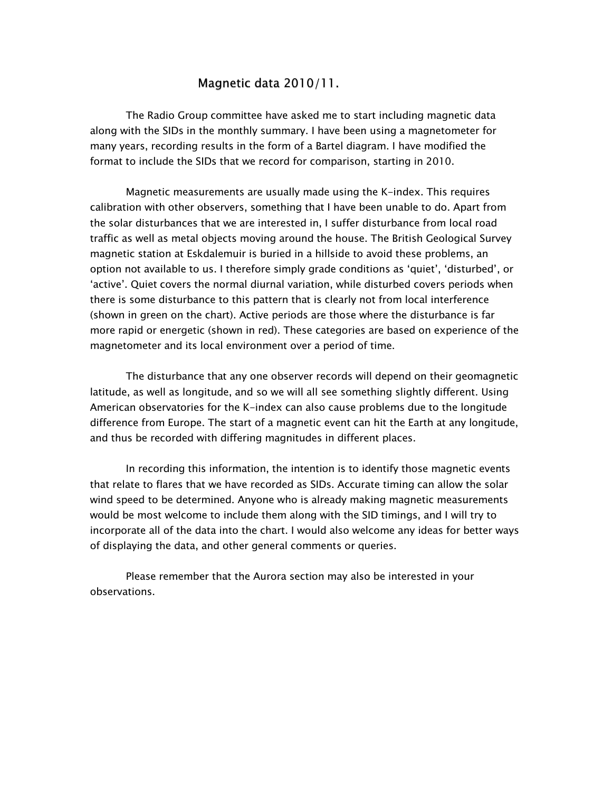## Magnetic data 2010/11.

The Radio Group committee have asked me to start including magnetic data along with the SIDs in the monthly summary. I have been using a magnetometer for many years, recording results in the form of a Bartel diagram. I have modified the format to include the SIDs that we record for comparison, starting in 2010.

Magnetic measurements are usually made using the K-index. This requires calibration with other observers, something that I have been unable to do. Apart from the solar disturbances that we are interested in, I suffer disturbance from local road traffic as well as metal objects moving around the house. The British Geological Survey magnetic station at Eskdalemuir is buried in a hillside to avoid these problems, an option not available to us. I therefore simply grade conditions as 'quiet', 'disturbed', or 'active'. Quiet covers the normal diurnal variation, while disturbed covers periods when there is some disturbance to this pattern that is clearly not from local interference (shown in green on the chart). Active periods are those where the disturbance is far more rapid or energetic (shown in red). These categories are based on experience of the magnetometer and its local environment over a period of time.

The disturbance that any one observer records will depend on their geomagnetic latitude, as well as longitude, and so we will all see something slightly different. Using American observatories for the K-index can also cause problems due to the longitude difference from Europe. The start of a magnetic event can hit the Earth at any longitude, and thus be recorded with differing magnitudes in different places.

In recording this information, the intention is to identify those magnetic events that relate to flares that we have recorded as SIDs. Accurate timing can allow the solar wind speed to be determined. Anyone who is already making magnetic measurements would be most welcome to include them along with the SID timings, and I will try to incorporate all of the data into the chart. I would also welcome any ideas for better ways of displaying the data, and other general comments or queries.

Please remember that the Aurora section may also be interested in your observations.